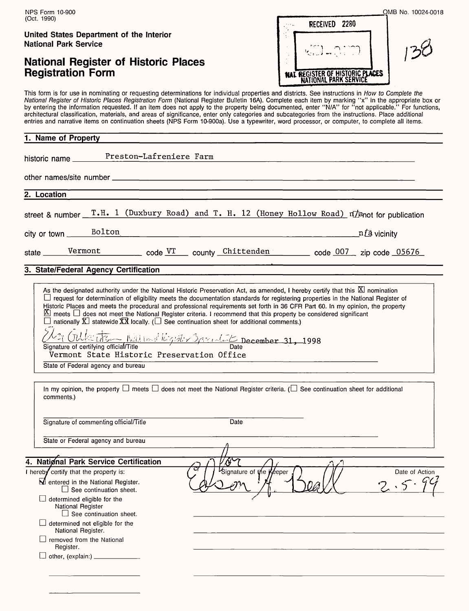# **National Register of Historic Places Registration Form**

|                                        | OMB No. 10024-0018 |
|----------------------------------------|--------------------|
| RECEIVED 2280                          |                    |
|                                        |                    |
| <b>NAT REGISTER OF HISTORIC PLACES</b> |                    |

This form is for use in nominating or requesting determinations for individual properties and districts. See instructions in How to Complete the National Register of Historic Places Registration Form (National Register Bulletin 16A). Complete each item by marking "x" in the appropriate box or by entering the information requested. If an item does not apply to the property being documented, enter "N/A" for "not applicable." For functions, architectural classification, materials, and areas of significance, enter only categories and subcategories from the instructions. Place additional entries and narrative items on continuation sheets (NPS Form 10-900a). Use a typewriter, word processor, or computer, to complete all items.

| 1. Name of Property                                                                                                                                                                                                                                                                                                                                                                                                                                                                                                                                                                                                                                                                                                                                                                                                                                 |
|-----------------------------------------------------------------------------------------------------------------------------------------------------------------------------------------------------------------------------------------------------------------------------------------------------------------------------------------------------------------------------------------------------------------------------------------------------------------------------------------------------------------------------------------------------------------------------------------------------------------------------------------------------------------------------------------------------------------------------------------------------------------------------------------------------------------------------------------------------|
| historic name Preston-Lafreniere Farm                                                                                                                                                                                                                                                                                                                                                                                                                                                                                                                                                                                                                                                                                                                                                                                                               |
|                                                                                                                                                                                                                                                                                                                                                                                                                                                                                                                                                                                                                                                                                                                                                                                                                                                     |
| 2. Location                                                                                                                                                                                                                                                                                                                                                                                                                                                                                                                                                                                                                                                                                                                                                                                                                                         |
| street & number $T.H. 1$ (Duxbury Road) and T. H. 12 (Honey Hollow Road) $\pi/$ and for publication                                                                                                                                                                                                                                                                                                                                                                                                                                                                                                                                                                                                                                                                                                                                                 |
| city or town Bolton<br>n <i>[</i> a vicinity<br><u> 1989 - Jan James James James James James James James James James James James James James James James James J</u>                                                                                                                                                                                                                                                                                                                                                                                                                                                                                                                                                                                                                                                                                |
| state Vermont code VT county Chittenden code 007 zip code 05676                                                                                                                                                                                                                                                                                                                                                                                                                                                                                                                                                                                                                                                                                                                                                                                     |
| 3. State/Federal Agency Certification                                                                                                                                                                                                                                                                                                                                                                                                                                                                                                                                                                                                                                                                                                                                                                                                               |
| As the designated authority under the National Historic Preservation Act, as amended, I hereby certify that this <b>E</b> nomination<br>L request for determination of eligibility meets the documentation standards for registering properties in the National Register of<br>Historic Places and meets the procedural and professional requirements set forth in 36 CFR Part 60. In my opinion, the property<br>$\Sigma$ meets $\square$ does not meet the National Register criteria. I recommend that this property be considered significant<br>$\Box$ nationally $\overline{X}$ statewide $\overline{X} \overline{X}$ locally. ( $\Box$ See continuation sheet for additional comments.)<br>La Gulke d'Esse National Régister Barcaster December 31, 1998<br>Vermont State Historic Preservation Office<br>State of Federal agency and bureau |
| In my opinion, the property $\Box$ meets $\Box$ does not meet the National Register criteria. ( $\Box$ See continuation sheet for additional<br>comments.)                                                                                                                                                                                                                                                                                                                                                                                                                                                                                                                                                                                                                                                                                          |
| Signature of commenting official/Title<br>Date                                                                                                                                                                                                                                                                                                                                                                                                                                                                                                                                                                                                                                                                                                                                                                                                      |
| State or Federal agency and bureau                                                                                                                                                                                                                                                                                                                                                                                                                                                                                                                                                                                                                                                                                                                                                                                                                  |
| 4. National Park Service Certification<br>VóA<br>$\Delta \mathcal{L}$                                                                                                                                                                                                                                                                                                                                                                                                                                                                                                                                                                                                                                                                                                                                                                               |

| 4. National Park Service Certification                                             | んへ                      |                |
|------------------------------------------------------------------------------------|-------------------------|----------------|
| I hereby certify that the property is:                                             | Signature of the Keeper | Date of Action |
| M entered in the National Register.<br>$\Box$ See continuation sheet.              |                         |                |
| $\Box$ determined eligible for the<br>National Register<br>See continuation sheet. |                         |                |
| determined not eligible for the<br>National Register.                              |                         |                |
| removed from the National<br>Register.                                             |                         |                |
| other, (explain:)                                                                  |                         |                |
|                                                                                    |                         |                |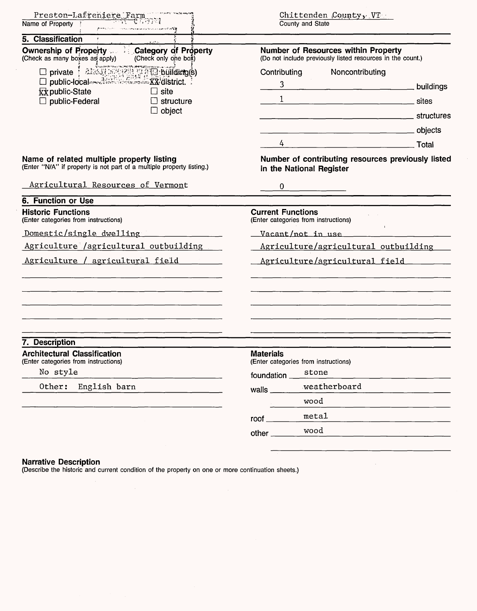| Preston-Lafreniere Farm<br>77 - CA 33 M<br>Name of Property<br><b>Alternative Control construction of the Control Web 2014</b> | $Chittenden$ $Country_{3}$ $VT$<br>County and State                                               |  |  |
|--------------------------------------------------------------------------------------------------------------------------------|---------------------------------------------------------------------------------------------------|--|--|
| 5. Classification                                                                                                              |                                                                                                   |  |  |
| Ownership of Property Category of Property<br>(Check as many boxes as apply)<br>(Check only one box)                           | Number of Resources within Property<br>(Do not include previously listed resources in the count.) |  |  |
| <b>xx</b> public-State<br>$\Box$ site<br>$\Box$ public-Federal<br>$\Box$ structure<br>$\Box$ object                            | Noncontributing<br>Contributing<br>3 <sup>1</sup>                                                 |  |  |
|                                                                                                                                | 4 Total                                                                                           |  |  |
| Name of related multiple property listing<br>(Enter "N/A" if property is not part of a multiple property listing.)             | Number of contributing resources previously listed<br>in the National Register                    |  |  |
| Agricultural Resources of Vermont                                                                                              | 0                                                                                                 |  |  |
| <b>6. Function or Use</b>                                                                                                      |                                                                                                   |  |  |
| <b>Historic Functions</b><br>(Enter categories from instructions)                                                              | <b>Current Functions</b><br>(Enter categories from instructions)                                  |  |  |
| Domestic/single dwelling                                                                                                       | Vacant/not in use                                                                                 |  |  |
| Agriculture /agricultural outbuilding                                                                                          | Agriculture/agricultural outbuilding                                                              |  |  |
| Agriculture / agricultural field                                                                                               | Agriculture/agricultural field                                                                    |  |  |
|                                                                                                                                |                                                                                                   |  |  |
| 7. Description                                                                                                                 |                                                                                                   |  |  |
| <b>Architectural Classification</b><br>(Enter categories from instructions)                                                    | <b>Materials</b><br>(Enter categories from instructions)                                          |  |  |
| No style                                                                                                                       | stone<br>foundation _                                                                             |  |  |
| Other:<br>English barn                                                                                                         | weatherboard<br>walls $\frac{1}{2}$                                                               |  |  |
|                                                                                                                                | wood                                                                                              |  |  |
|                                                                                                                                | metal<br>$root \_$                                                                                |  |  |
|                                                                                                                                | wood<br>other                                                                                     |  |  |

#### **Narrative Description**

(Describe the historic and current condition of the property on one or more continuation sheets.)

 $\hat{\mathcal{A}}$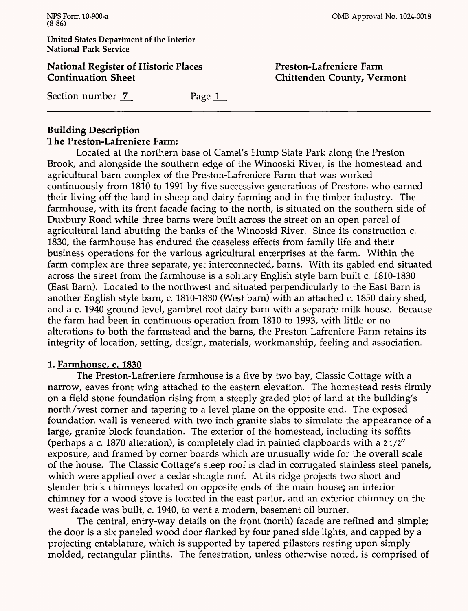**National Register of Historic Places Continuation Sheet**

OMB Approval No. 1024-0018

**Preston-Lafreniere Farm Chittenden County, Vermont**

Section number <u>7</u> Page 1

## **Building Description The Preston-Lafreniere Farm:**

Located at the northern base of Camel's Hump State Park along the Preston Brook, and alongside the southern edge of the Winooski River, is the homestead and agricultural barn complex of the Preston-Lafreniere Farm that was worked continuously from 1810 to 1991 by five successive generations of Prestons who earned their living off the land in sheep and dairy farming and in the timber industry. The farmhouse, with its front facade facing to the north, is situated on the southern side of Duxbury Road while three barns were built across the street on an open parcel of agricultural land abutting the banks of the Winooski River. Since its construction c. 1830, the farmhouse has endured the ceaseless effects from family life and their business operations for the various agricultural enterprises at the farm. Within the farm complex are three separate, yet interconnected, barns. With its gabled end situated across the street from the farmhouse is a solitary English style barn built c. 1810-1830 (East Barn). Located to the northwest and situated perpendicularly to the East Barn is another English style barn, c. 1810-1830 (West barn) with an attached c. 1850 dairy shed, and a c. 1940 ground level, gambrel roof dairy barn with a separate milk house. Because the farm had been in continuous operation from 1810 to 1993, with little or no alterations to both the farmstead and the barns, the Preston-Lafreniere Farm retains its integrity of location, setting, design, materials, workmanship, feeling and association.

### **1. Farmhouse, c. 1830**

The Preston-Lafreniere farmhouse is a five by two bay, Classic Cottage with a narrow, eaves front wing attached to the eastern elevation. The homestead rests firmly on a field stone foundation rising from a steeply graded plot of land at the building's north/west corner and tapering to a level plane on the opposite end. The exposed foundation wall is veneered with two inch granite slabs to simulate the appearance of a large, granite block foundation. The exterior of the homestead, including its soffits (perhaps a c. 1870 alteration), is completely clad in painted clapboards with a *21/2"*  exposure, and framed by corner boards which are unusually wide for the overall scale of the house. The Classic Cottage's steep roof is clad in corrugated stainless steel panels, which were applied over a cedar shingle roof. At its ridge projects two short and slender brick chimneys located on opposite ends of the main house; an interior chimney for a wood stove is located in the east parlor, and an exterior chimney on the west facade was built, c. 1940, to vent a modern, basement oil burner.

The central, entry-way details on the front (north) facade are refined and simple; the door is a six paneled wood door flanked by four paned side lights, and capped by a projecting entablature, which is supported by tapered pilasters resting upon simply molded, rectangular plinths. The fenestration, unless otherwise noted, is comprised of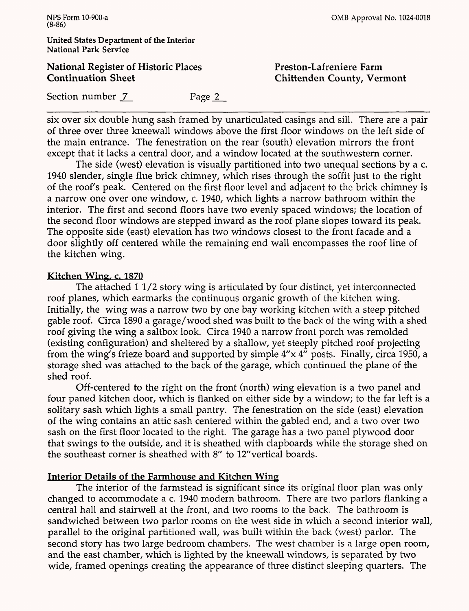OMB Approval No. 1024-0018

**United States Department of the Interior National Park Service**

**National Register of Historic Places Continuation Sheet**

**Preston-Lafreniere Farm Chittenden County, Vermont**

Section number 7 Page 2

six over six double hung sash framed by unarticulated casings and sill. There are a pair of three over three kneewall windows above the first floor windows on the left side of the main entrance. The fenestration on the rear (south) elevation mirrors the front except that it lacks a central door, and a window located at the southwestern corner.

The side (west) elevation is visually partitioned into two unequal sections by a c. 1940 slender, single flue brick chimney, which rises through the soffit just to the right of the roof's peak. Centered on the first floor level and adjacent to the brick chimney is a narrow one over one window, c. 1940, which lights a narrow bathroom within the interior. The first and second floors have two evenly spaced windows; the location of the second floor windows are stepped inward as the roof plane slopes toward its peak. The opposite side (east) elevation has two windows closest to the front facade and a door slightly off centered while the remaining end wall encompasses the roof line of the kitchen wing.

### **Kitchen Wing, c. 1870**

The attached 11/2 story wing is articulated by four distinct, yet interconnected roof planes, which earmarks the continuous organic growth of the kitchen wing. Initially, the wing was a narrow two by one bay working kitchen with a steep pitched gable roof. Circa 1890 a garage/wood shed was built to the back of the wing with a shed roof giving the wing a saltbox look. Circa 1940 a narrow front porch was remolded (existing configuration) and sheltered by a shallow, yet steeply pitched roof projecting from the wing's frieze board and supported by simple 4"x 4" posts. Finally, circa 1950, a storage shed was attached to the back of the garage, which continued the plane of the shed roof.

Off-centered to the right on the front (north) wing elevation is a two panel and four paned kitchen door, which is flanked on either side by a window; to the far left is a solitary sash which lights a small pantry. The fenestration on the side (east) elevation of the wing contains an attic sash centered within the gabled end, and a two over two sash on the first floor located to the right. The garage has a two panel plywood door that swings to the outside, and it is sheathed with clapboards while the storage shed on the southeast corner is sheathed with *8"* to *12"*vertical boards.

### **Interior Details of the Farmhouse and Kitchen Wing**

The interior of the farmstead is significant since its original floor plan was only changed to accommodate a c. 1940 modern bathroom. There are two parlors flanking a central hall and stairwell at the front, and two rooms to the back. The bathroom is sandwiched between two parlor rooms on the west side in which a second interior wall, parallel to the original partitioned wall, was built within the back (west) parlor. The second story has two large bedroom chambers. The west chamber is *a* large open room, and the east chamber, which is lighted by the kneewall windows, is separated by two wide, framed openings creating the appearance of three distinct sleeping quarters. The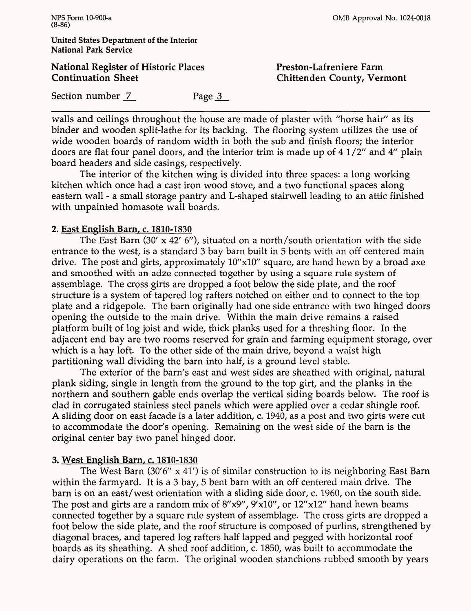### **National Register of Historic Places Continuation Sheet**

OMB Approval No. 1024-0018

**Preston-Lafreniere Farm Chittenden County, Vermont**

Section number 7 Page 3

walls and ceilings throughout the house are made of plaster with "horse hair" as its binder and wooden split-lathe for its backing. The flooring system utilizes the use of wide wooden boards of random width in both the sub and finish floors; the interior doors are flat four panel doors, and the interior trim is made up of 4 1/2" and 4" plain board headers and side casings, respectively.

The interior of the kitchen wing is divided into three spaces: a long working kitchen which once had a cast iron wood stove, and a two functional spaces along eastern wall - a small storage pantry and L-shaped stairwell leading to an attic finished with unpainted homasote wall boards.

### **2. East English Barn, c. 1810-1830**

The East Barn (30' x 42' *6"),* situated on a north/south orientation with the side entrance to the west, is a standard 3 bay barn built in 5 bents with an off centered main drive. The post and girts, approximately 10"xlO" square, are hand hewn by a broad axe and smoothed with an adze connected together by using a square rule system of assemblage. The cross girts are dropped a foot below the side plate, and the roof structure is a system of tapered log rafters notched on either end to connect to the top plate and a ridgepole. The barn originally had one side entrance with two hinged doors opening the outside to the main drive. Within the main drive remains a raised platform built of log joist and wide, thick planks used for a threshing floor. In the adjacent end bay are two rooms reserved for grain and farming equipment storage, over which is a hay loft. To the other side of the main drive, beyond a waist high partitioning wall dividing the barn into half, is a ground level stable.

The exterior of the barn's east and west sides are sheathed with original, natural plank siding, single in length from the ground to the top girt, and the planks in the northern and southern gable ends overlap the vertical siding boards below. The roof is clad in corrugated stainless steel panels which were applied over a cedar shingle roof. A sliding door on east facade is a later addition, c. 1940, as a post and two girts were cut to accommodate the door's opening. Remaining on the west side of the barn is the original center bay two panel hinged door.

## **3. West English Barn, c. 1810-1830**

The West Barn (30'6"  $\times$  41') is of similar construction to its neighboring East Barn within the farmyard. It is a 3 bay, 5 bent barn with an off centered main drive. The barn is on an east/west orientation with a sliding side door, c. 1960, on the south side. The post and girts are a random mix of  $8''x9''$ ,  $9'x10''$ , or  $12''x12''$  hand hewn beams connected together by a square rule system of assemblage. The cross girts are dropped a foot below the side plate, and the roof structure is composed of purlins, strengthened by diagonal braces, and tapered log rafters half lapped and pegged with horizontal roof boards as its sheathing. A shed roof addition, c. 1850, was built to accommodate the dairy operations on the farm. The original wooden stanchions rubbed smooth by years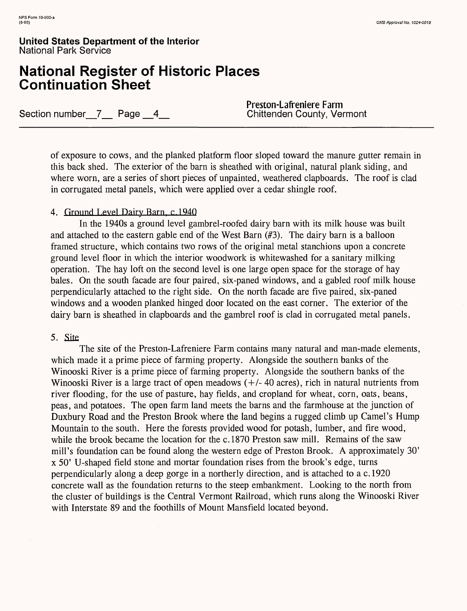# **National Register of Historic Places Continuation Sheet**

Section number<sub>\_7\_</sub> Page \_4\_

**Preston-Lafreniere Farm**

of exposure to cows, and the planked platform floor sloped toward the manure gutter remain in this back shed. The exterior of the barn is sheathed with original, natural plank siding, and where worn, are a series of short pieces of unpainted, weathered clapboards. The roof is clad in corrugated metal panels, which were applied over a cedar shingle roof.

### 4. Ground Level Dairy Barn, c.1940

In the 1940s a ground level gambrel-roofed dairy barn with its milk house was built and attached to the eastern gable end of the West Barn (#3). The dairy barn is a balloon framed structure, which contains two rows of the original metal stanchions upon a concrete ground level floor in which the interior woodwork is whitewashed for a sanitary milking operation. The hay loft on the second level is one large open space for the storage of hay bales. On the south facade are four paired, six-paned windows, and a gabled roof milk house perpendicularly attached to the right side. On the north facade are five paired, six-paned windows and a wooden planked hinged door located on the east corner. The exterior of the dairy barn is sheathed in clapboards and the gambrel roof is clad in corrugated metal panels.

### 5. Site

The site of the Preston-Lafreniere Farm contains many natural and man-made elements, which made it a prime piece of farming property. Alongside the southern banks of the Winooski River is a prime piece of farming property. Alongside the southern banks of the Winooski River is a large tract of open meadows  $(+/- 40$  acres), rich in natural nutrients from river flooding, for the use of pasture, hay fields, and cropland for wheat, corn, oats, beans, peas, and potatoes. The open farm land meets the barns and the farmhouse at the junction of Duxbury Road and the Preston Brook where the land begins a rugged climb up Camel's Hump Mountain to the south. Here the forests provided wood for potash, lumber, and fire wood, while the brook became the location for the c. 1870 Preston saw mill. Remains of the saw mill's foundation can be found along the western edge of Preston Brook. A approximately 30' x 50' U-shaped field stone and mortar foundation rises from the brook's edge, turns perpendicularly along a deep gorge in a northerly direction, and is attached to a c.1920 concrete wall as the foundation returns to the steep embankment. Looking to the north from the cluster of buildings is the Central Vermont Railroad, which runs along the Winooski River with Interstate 89 and the foothills of Mount Mansfield located beyond.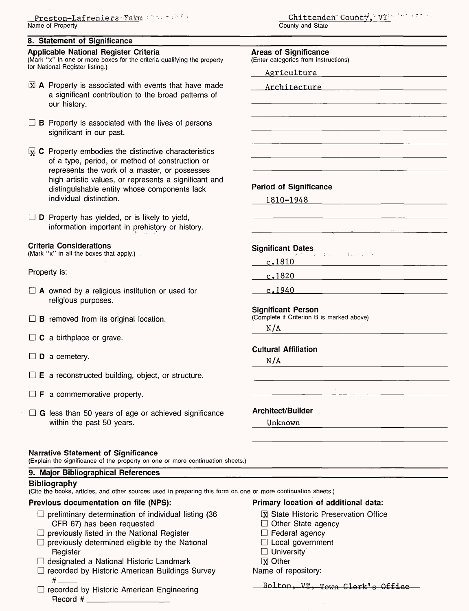#### **8. Statement of Significance**

#### **Applicable National Register Criteria**

(Mark "x" in one or more boxes for the criteria qualifying the property for National Register listing.)

- $\boxtimes$  A Property is associated with events that have made a significant contribution to the broad patterns of our history.
- $\Box$  **B** Property is associated with the lives of persons significant in our past.
- $\mathbb{R}$  C Property embodies the distinctive characteristics of a type, period, or method of construction or represents the work of a master, or possesses high artistic values, or represents a significant and distinguishable entity whose components lack individual distinction.

 $\Box$  **D** Property has yielded, or is likely to yield, information important in prehistory or history.

#### **Criteria Considerations**

(Mark "x" in all the boxes that apply.)

Property is:

- $\Box$  A owned by a religious institution or used for religious purposes.
- $\Box$  **B** removed from its original location.
- $\Box$  C a birthplace or grave.
- $\square$  **D** a cemetery.
- $\Box$  **E** a reconstructed building, object, or structure.
- $\Box$  **F** a commemorative property.
- $\Box$  G less than 50 years of age or achieved significance within the past 50 years.

#### **Narrative Statement of Significance**

(Explain the significance of the property on one or more continuation s

#### **9. Major Bibliographical References**

#### **Bibliography**

(Cite the books, articles, and other sources used in preparing this form on one or more continuation sheets.)

#### **Previous documentation on file (NPS): Primary location of additional data:**

- $\square$  preliminary determination of individual listing (36  $\square$  State Historic Preservation Office CFR 67) has been requested
- $\square$  previously listed in the National Register
- $\square$  previously determined eligible by the National Register
- $\Box$  designated a National Historic Landmark
- $\Box$  recorded by Historic American Buildings Survey # \_\_\_\_\_\_\_\_\_\_\_\_\_\_
- $\square$  recorded by Historic American Engineering Record  $#$   $\_\_$

Chittenden County', VT: 1999 1999 County and State

|        | Agriculture                               |
|--------|-------------------------------------------|
|        | Architecture 2008                         |
|        |                                           |
|        |                                           |
|        |                                           |
|        |                                           |
|        |                                           |
|        |                                           |
|        |                                           |
|        | <b>Period of Significance</b>             |
|        | 1810-1948                                 |
|        |                                           |
|        |                                           |
|        |                                           |
|        | Significant Dates                         |
|        | c.1810                                    |
| c.1820 |                                           |
| c.1940 |                                           |
|        | <b>Significant Person</b>                 |
|        | (Complete if Criterion B is marked above) |
| N/A    | <u> 1980 - Jan Barbara Barbara, m</u>     |
|        | <b>Cultural Affiliation</b>               |
| N/A    |                                           |
|        |                                           |
|        |                                           |
|        |                                           |
|        | <b>Architect/Builder</b>                  |
|        | Unknown                                   |
|        |                                           |

- 
- $\Box$  Other State agency
- $\Box$  Federal agency
- $\Box$  Local government
- $\Box$  University

**IX** Other

Name of repository:

Bolton, VT, Town Clerk's Office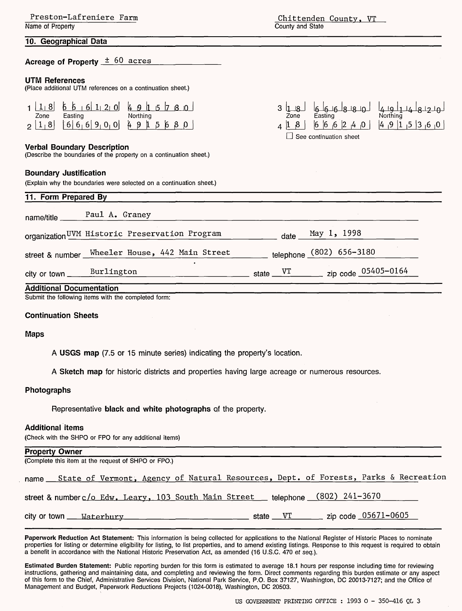| Preston-Lafreniere Farm |  |
|-------------------------|--|
| Name of Property        |  |

### **10. Geographical Data**

### **Acreage of Property** ± 60 acres

#### **UTM References**

(Place additional UTM references on a continuation sheet.)

| 8    | b.<br> 6 1 <br> 0 <br>$\pm 2$                                | 4<br>ρ,<br>ıБ.<br>$\mathbf{1}$<br>ıΩ |
|------|--------------------------------------------------------------|--------------------------------------|
| Zone | Easting                                                      | Northing                             |
| 8    | 6 6 6 <br>$\overline{0}$<br>9 <sub>1</sub><br>0 <sub>1</sub> | 4<br>- 9<br>L                        |

#### **Verbal Boundary Description**

(Describe the boundaries of the property on a continuation sheet.)

#### **Boundary Justification**

(Explain why the boundaries were selected on a continuation sheet.)

| w<br>Zone | 16-16-18-18-10-1<br>Easting   | 17. IQ<br>Northing                                                                        |
|-----------|-------------------------------|-------------------------------------------------------------------------------------------|
|           |                               | $0_1$ $0_2$ $1_3$ $1_5$ $1_3$ $1_6$ $1_7$ $1_8$ $1_9$ $1_1$ $1_2$ $1_3$ $1_3$ $1_1$ $1_2$ |
|           | $\Box$ See continuation sheet |                                                                                           |

3 let 18 I et 18 1 et 18 1 - 19 1 - 19 1 1 - 1

| name/title _____ | Paul A. Graney                                 |                                  |
|------------------|------------------------------------------------|----------------------------------|
|                  | organization UVM Historic Preservation Program | May 1, 1998<br>date              |
| street & number  | Wheeler House, 442 Main Street                 | telephone (802) 656-3180         |
|                  | city or town Burlington                        | state $VT$ zip code $05405-0164$ |

#### **Continuation Sheets**

#### **Maps**

**A USGS map** (7.5 or 15 minute series) indicating the property's location.

**A Sketch map** for historic districts and properties having large acreage or numerous resources.

#### **Photographs**

Representative **black and white photographs** of the property.

#### **Additional items**

(Check with the SHPO or FPO for any additional items)

| <b>Property Owner</b>                                                                    |          |                                                   |  |
|------------------------------------------------------------------------------------------|----------|---------------------------------------------------|--|
| (Complete this item at the request of SHPO or FPO.)                                      |          |                                                   |  |
| name State of Vermont, Agency of Natural Resources, Dept. of Forests, Parks & Recreation |          |                                                   |  |
| street & numberc/o Edw. Leary, 103 South Main Street                                     |          | telephone (802) 241-3670                          |  |
| city or town ___ Waterbury                                                               | state VT | $\frac{1}{2}$ zip code $\frac{0.05671 - 0605}{2}$ |  |

**Paperwork Reduction Act Statement:** This information is being collected for applications to the National Register of Historic Places to nominate properties for listing or determine eligibility for listing, to list properties, and to amend existing listings. Response to this request is required to obtain a benefit in accordance with the National Historic Preservation Act, as amended (16 U.S.C. 470 et seq.).

**Estimated Burden Statement:** Public reporting burden for this form is estimated to average 18.1 hours per response including time for reviewing instructions, gathering and maintaining data, and completing and reviewing the form. Direct comments regarding this burden estimate or any aspect of this form to the Chief, Administrative Services Division, National Park Service, P.O. Box 37127, Washington, DC 20013-7127; and the Office of Management and Budget, Paperwork Reductions Projects (1024-0018), Washington, DC 20503.

Chittenden County. VT County and State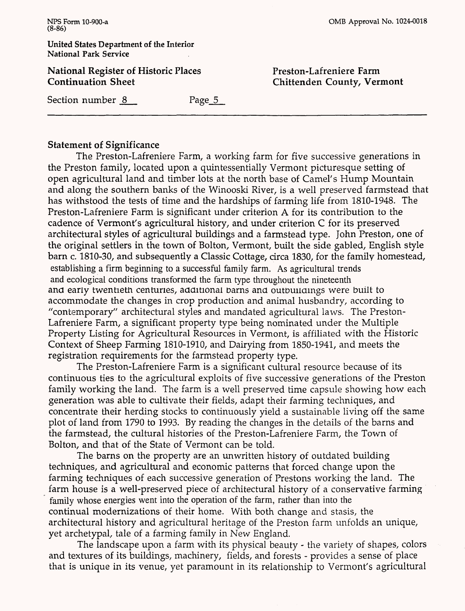of the Interior **National Park Service**

**National Register of Historic Places Continuation Sheet**

**Preston-Lafreniere Farm Chittenden County, Vermont**

Section number 8 Page 5

### **Statement of Significance**

The Preston-Lafreniere Farm, a working farm for five successive generations in the Preston family, located upon a quintessentially Vermont picturesque setting of open agricultural land and timber lots at the north base of Camel's Hump Mountain and along the southern banks of the Winooski River, is a well preserved farmstead that has withstood the tests of time and the hardships of farming life from 1810-1948. The Preston-Lafreniere Farm is significant under criterion A for its contribution to the cadence of Vermont's agricultural history, and under criterion C for its preserved architectural styles of agricultural buildings and a farmstead type. John Preston, one of the original settlers in the town of Bolton, Vermont, built the side gabled, English style barn c. 1810-30, and subsequently a Classic Cottage, circa 1830, for the family homestead, establishing a firm beginning to a successful family farm. As agricultural trends and ecological conditions transformed the farm type throughout the nineteenth and early twentieth centuries, additional barns and outbuildings were built to accommodate the changes in crop production and animal husbandry, according to "contemporary" architectural styles and mandated agricultural laws. The Preston-Lafreniere Farm, a significant property type being nominated under the Multiple Property Listing for Agricultural Resources in Vermont, is affiliated with the Historic Context of Sheep Farming 1810-1910, and Dairying from 1850-1941, and meets the registration requirements for the farmstead property type.

The Preston-Lafreniere Farm is a significant cultural resource because of its continuous ties to the agricultural exploits of five successive generations of the Preston family working the land. The farm is a well preserved time capsule showing how each generation was able to cultivate their fields, adapt their farming techniques, and concentrate their herding stocks to continuously yield a sustainable living off the same plot of land from 1790 to 1993. By reading the changes in the details of the barns and the farmstead, the cultural histories of the Preston-Lafreniere Farm, the Town of Bolton, and that of the State of Vermont can be told.

The barns on the property are an unwritten history of outdated building techniques, and agricultural and economic patterns that forced change upon the farming techniques of each successive generation of Prestons working the land. The farm house is a well-preserved piece of architectural history of a conservative farming family whose energies went into the operation of the farm, rather than into the continual modernizations of their home. With both change and stasis, the architectural history and agricultural heritage of the Preston farm unfolds an unique, yet archetypal, tale of a farming family in New England.

The landscape upon a farm with its physical beauty - the variety of shapes, colors and textures of its buildings, machinery, fields, and forests - provides a sense of place that is unique in its venue, yet paramount in its relationship to Vermont's agricultural

| . |                          |
|---|--------------------------|
|   | United States Department |
|   | National Park Service    |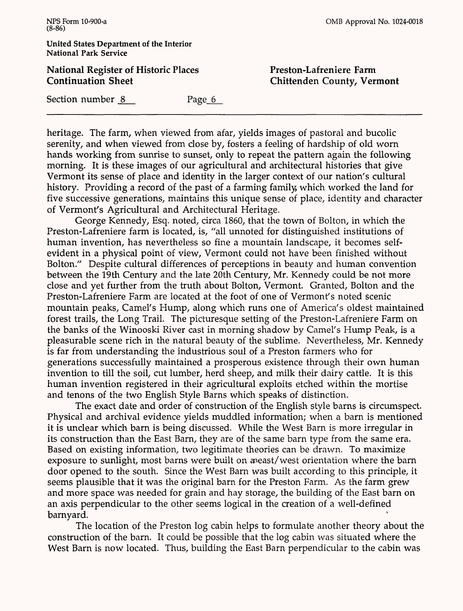**United States Department of the Interior National Park Service**

**National Register of Historic Places Continuation Sheet**

**Chittenden County, Vermont**

Section number 8 Page 6

heritage. The farm, when viewed from afar, yields images of pastoral and bucolic serenity, and when viewed from close by, fosters a feeling of hardship of old worn hands working from sunrise to sunset, only to repeat the pattern again the following morning. It is these images of our agricultural and architectural histories that give Vermont its sense of place and identity in the larger context of our nation's cultural history. Providing a record of the past of a farming family, which worked the land for five successive generations, maintains this unique sense of place, identity and character of Vermont's Agricultural and Architectural Heritage.

George Kennedy, Esq. noted, circa 1860, that the town of Bolton, in which the Preston-Lafreniere farm is located, is, "all unnoted for distinguished institutions of human invention, has nevertheless so fine a mountain landscape, it becomes selfevident in a physical point of view, Vermont could not have been finished without Bolton." Despite cultural differences of perceptions in beauty and human convention between the 19th Century and the late 20th Century, Mr. Kennedy could be not more close and yet further from the truth about Bolton, Vermont. Granted, Bolton and the Preston-Lafreniere Farm are located at the foot of one of Vermont's noted scenic mountain peaks, Camel's Hump, along which runs one of America's oldest maintained forest trails, the Long Trail. The picturesque setting of the Preston-Lafreniere Farm on the banks of the Winooski River cast in morning shadow by Camel's Hump Peak, is a pleasurable scene rich in the natural beauty of the sublime. Nevertheless, Mr. Kennedy is far from understanding the industrious soul of a Preston farmers who for generations successfully maintained a prosperous existence through their own human invention to till the soil, cut lumber, herd sheep, and milk their dairy cattle. It is this human invention registered in their agricultural exploits etched within the mortise and tenons of the two English Style Barns which speaks of distinction.

The exact date and order of construction of the English style barns is circumspect. Physical and archival evidence yields muddled information; when a barn is mentioned it is unclear which barn is being discussed. While the West Barn is more irregular in its construction than the East Barn, they are of the same barn type from the same era. Based on existing information, two legitimate theories can be drawn. To maximize exposure to sunlight, most barns were built on aneast/west orientation where the barn door opened to the south. Since the West Barn was built according to this principle, it seems plausible that it was the original barn for the Preston Farm. As the farm grew and more space was needed for grain and hay storage, the building of the East barn on an axis perpendicular to the other seems logical in the creation of a well-defined barnyard.

The location of the Preston log cabin helps to formulate another theory about the construction of the barn. It could be possible that the log cabin was situated where the West Barn is now located. Thus, building the East Barn perpendicular to the cabin was

**Preston-Lafreniere Farm**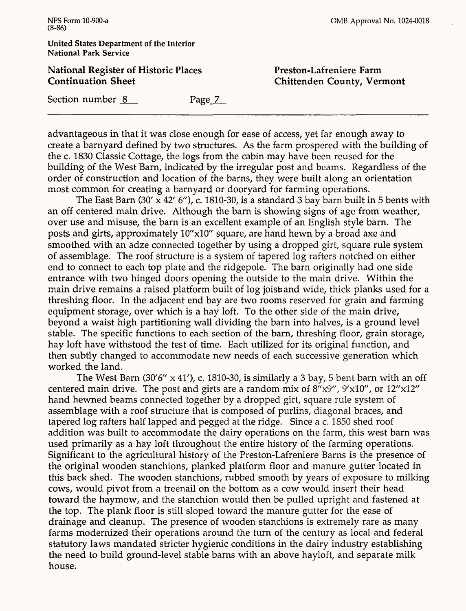**United States Department of the Interior National Park Service**

### **National Register of Historic Places Continuation Sheet**

**Preston-Lafreniere Farm Chittenden County, Vermont**

Section number 8 Page 7

advantageous in that it was close enough for ease of access, yet far enough away to create a barnyard defined by two structures. As the farm prospered with the building of the c. 1830 Classic Cottage, the logs from the cabin may have been reused for the building of the West Barn, indicated by the irregular post and beams. Regardless of the order of construction and location of the barns, they were built along an orientation most common for creating a barnyard or dooryard for farming operations.

The East Barn  $(30' \times 42' 6'')$ , c. 1810-30, is a standard 3 bay barn built in 5 bents with an off centered main drive. Although the barn is showing signs of age from weather, over use and misuse, the barn is an excellent example of an English style barn. The posts and girts, approximately 10"xlO" square, are hand hewn by a broad axe and smoothed with an adze connected together by using a dropped girt, square rule system of assemblage. The roof structure is a system of tapered log rafters notched on either end to connect to each top plate and the ridgepole. The barn originally had one side entrance with two hinged doors opening the outside to the main drive. Within the main drive remains a raised platform built of log joist and wide, thick planks used for a threshing floor. In the adjacent end bay are two rooms reserved for grain and farming equipment storage, over which is a hay loft. To the other side of the main drive, beyond a waist high partitioning wall dividing the barn into halves, is a ground level stable. The specific functions to each section of the barn, threshing floor, grain storage, hay loft have withstood the test of time. Each utilized for its original function, and then subtly changed to accommodate new needs of each successive generation which worked the land.

The West Barn (30'6"  $\times$  41'), c. 1810-30, is similarly a 3 bay, 5 bent barn with an off centered main drive. The post and girts are a random mix of  $8'' \times 9''$ ,  $9' \times 10''$ , or  $12'' \times 12''$ hand hewned beams connected together by a dropped girt, square rule system of assemblage with a roof structure that is composed of purlins, diagonal braces, and tapered log rafters half lapped and pegged at the ridge. Since a c. 1850 shed roof addition was built to accommodate the dairy operations on the farm, this west barn was used primarily as a hay loft throughout the entire history of the farming operations. Significant to the agricultural history of the Preston-Lafreniere Barns is the presence of the original wooden stanchions, planked platform floor and manure gutter located in this back shed. The wooden stanchions, rubbed smooth by years of exposure to milking cows, would pivot from a treenail on the bottom as a cow would insert their head toward the haymow, and the stanchion would then be pulled upright and fastened at the top. The plank floor is still sloped toward the manure gutter for the ease of drainage and cleanup. The presence of wooden stanchions is extremely rare as many farms modernized their operations around the turn of the century as local and federal statutory laws mandated stricter hygienic conditions in the dairy industry establishing the need to build ground-level stable barns with an above hayloft, and separate milk house.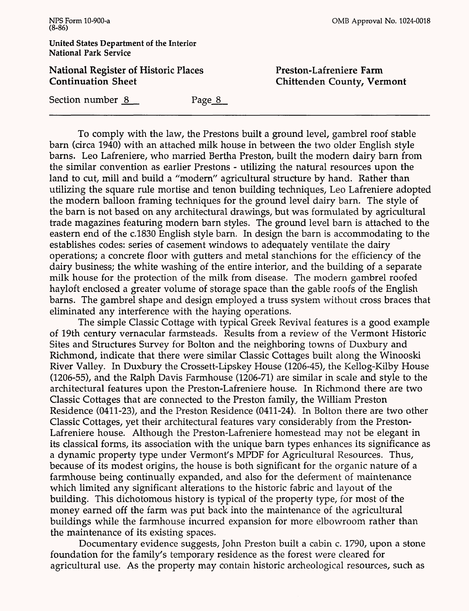#### **United States Department of the Interior National Park Service**

### **National Register of Historic Places Continuation Sheet**

**Freston-Lafreniere Farm Chittenden County, Vermont**

Section number 8 Page 8

To comply with the law, the Prestons built a ground level, gambrel roof stable barn (circa 1940) with an attached milk house in between the two older English style barns. Leo Lafreniere, who married Bertha Preston, built the modern dairy barn from the similar convention as earlier Prestons - utilizing the natural resources upon the land to cut, mill and build a "modern" agricultural structure by hand. Rather than utilizing the square rule mortise and tenon building techniques, Leo Lafreniere adopted the modern balloon framing techniques for the ground level dairy barn. The style of the barn is not based on any architectural drawings, but was formulated by agricultural trade magazines featuring modern barn styles. The ground level barn is attached to the eastern end of the c.1830 English style barn. In design the barn is accommodating to the establishes codes: series of casement windows to adequately ventilate the dairy operations; a concrete floor with gutters and metal stanchions for the efficiency of the dairy business; the white washing of the entire interior, and the building of a separate milk house for the protection of the milk from disease. The modern gambrel roofed hayloft enclosed a greater volume of storage space than the gable roofs of the English barns. The gambrel shape and design employed a truss system without cross braces that eliminated any interference with the haying operations.

The simple Classic Cottage with typical Greek Revival features is a good example of 19th century vernacular farmsteads. Results from a review of the Vermont Historic Sites and Structures Survey for Bolton and the neighboring towns of Duxbury and Richmond, indicate that there were similar Classic Cottages built along the Winooski River Valley. In Duxbury the Crossett-Lipskey House (1206-45), the Kellog-Kilby House (1206-55), and the Ralph Davis Farmhouse (1206-71) are similar in scale and style to the architectural features upon the Preston-Lafreniere house. In Richmond there are two Classic Cottages that are connected to the Preston family, the William Preston Residence (0411-23), and the Preston Residence (0411-24). In Bolton there are two other Classic Cottages, yet their architectural features vary considerably from the Preston-Lafreniere house. Although the Preston-Lafreniere homestead may not be elegant in its classical forms, its association with the unique barn types enhances its significance as a dynamic property type under Vermont's MPDF for Agricultural Resources. Thus, because of its modest origins, the house is both significant for the organic nature of a farmhouse being continually expanded, and also for the deferment of maintenance which limited any significant alterations to the historic fabric and layout of the building. This dichotomous history is typical of the property type, for most of the money earned off the farm was put back into the maintenance of the agricultural buildings while the farmhouse incurred expansion for more elbowroom rather than the maintenance of its existing spaces.

Documentary evidence suggests, John Preston built a cabin c. 1790, upon a stone foundation for the family's temporary residence as the forest were cleared for agricultural use. As the property may contain historic archeological resources, such as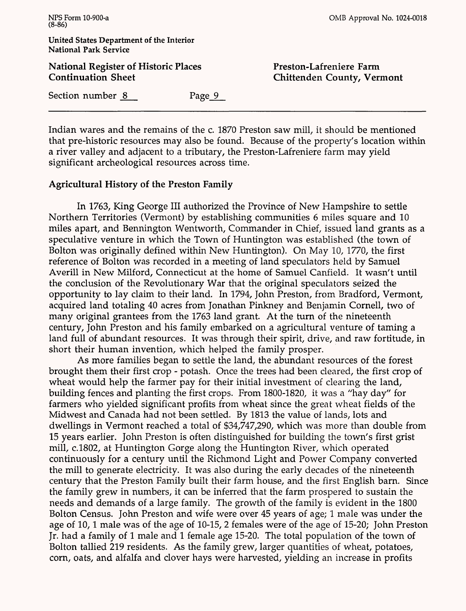**National Register of Historic Places Continuation Sheet**

OMB Approval No. 1024-0018

**Preston-Lafreniere Farm Chittenden County, Vermont**

Section number 8 Page 9

Indian wares and the remains of the c. 1870 Preston saw mill, it should be mentioned that pre-historic resources may also be found. Because of the property's location within a river valley and adjacent to a tributary, the Preston-Lafreniere farm may yield significant archeological resources across time.

### **Agricultural History of the Preston Family**

In 1763, King George III authorized the Province of New Hampshire to settle Northern Territories (Vermont) by establishing communities 6 miles square and 10 miles apart, and Bennington Wentworth, Commander in Chief, issued land grants as a speculative venture in which the Town of Huntington was established (the town of Bolton was originally defined within New Huntington). On May 10, 1770, the first reference of Bolton was recorded in a meeting of land speculators held by Samuel Averill in New Milford, Connecticut at the home of Samuel Canfield. It wasn't until the conclusion of the Revolutionary War that the original speculators seized the opportunity to lay claim to their land. In 1794, John Preston, from Bradford, Vermont, acquired land totaling 40 acres from Jonathan Pinkney and Benjamin Cornell, two of many original grantees from the 1763 land grant. At the turn of the nineteenth century, John Preston and his family embarked on a agricultural venture of taming a land full of abundant resources. It was through their spirit, drive, and raw fortitude, in short their human invention, which helped the family prosper.

As more families began to settle the land, the abundant resources of the forest brought them their first crop - potash. Once the trees had been cleared, the first crop of wheat would help the farmer pay for their initial investment of clearing the land, building fences and planting the first crops. From 1800-1820, it was a "hay day" for farmers who yielded significant profits from wheat since the great wheat fields of the Midwest and Canada had not been settled. By 1813 the value of lands, lots and dwellings in Vermont reached a total of \$34,747,290, which was more than double from 15 years earlier. John Preston is often distinguished for building the town's first grist mill, c.1802, at Huntington Gorge along the Huntington River, which operated continuously for a century until the Richmond Light and Power Company converted the mill to generate electricity. It was also during the early decades of the nineteenth century that the Preston Family built their farm house, and the first English barn. Since the family grew in numbers, it can be inferred that the farm prospered to sustain the needs and demands of a large family. The growth of the family is evident in the 1800 Bolton Census. John Preston and wife were over 45 years of age; 1 male was under the age of 10,1 male was of the age of 10-15, 2 females were of the age of 15-20; John Preston Jr. had a family of 1 male and 1 female age 15-20. The total population of the town of Bolton tallied 219 residents. As the family grew, larger quantities of wheat, potatoes, corn, oats, and alfalfa and clover hays were harvested, yielding an increase in profits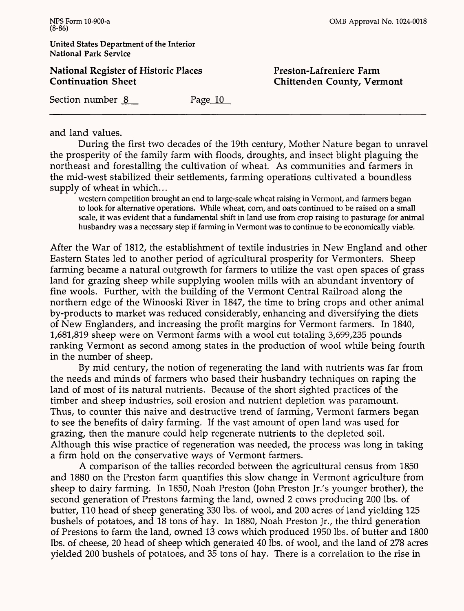**National Register of Historic Places Continuation Sheet**

**Preston-Lafreniere Farm Chittenden County, Vermont**

Section number 8 Page 10

and land values.

During the first two decades of the 19th century, Mother Nature began to unravel the prosperity of the family farm with floods, droughts, and insect blight plaguing the northeast and forestalling the cultivation of wheat. As communities and farmers in the mid-west stabilized their settlements, farming operations cultivated a boundless supply of wheat in which...

western competition brought an end to large-scale wheat raising in Vermont, and farmers began to look for alternative operations. While wheat, corn, and oats continued to be raised on a small scale, it was evident that a fundamental shift in land use from crop raising to pasturage for animal husbandry was a necessary step if farming in Vermont was to continue to be economically viable.

After the War of 1812, the establishment of textile industries in New England and other Eastern States led to another period of agricultural prosperity for Vermonters. Sheep farming became a natural outgrowth for farmers to utilize the vast open spaces of grass land for grazing sheep while supplying woolen mills with an abundant inventory of fine wools. Further, with the building of the Vermont Central Railroad along the northern edge of the Winooski River in 1847, the time to bring crops and other animal by-products to market was reduced considerably, enhancing and diversifying the diets of New Englanders, and increasing the profit margins for Vermont farmers. In 1840, 1,681,819 sheep were on Vermont farms with a wool cut totaling 3,699,235 pounds ranking Vermont as second among states in the production of wool while being fourth in the number of sheep.

By mid century, the notion of regenerating the land with nutrients was far from the needs and minds of farmers who based their husbandry techniques on raping the land of most of its natural nutrients. Because of the short sighted practices of the timber and sheep industries, soil erosion and nutrient depletion was paramount. Thus, to counter this naive and destructive trend of farming, Vermont farmers began to see the benefits of dairy farming. If the vast amount of open land was used for grazing, then the manure could help regenerate nutrients to the depleted soil. Although this wise practice of regeneration was needed, the process was long in taking a firm hold on the conservative ways of Vermont farmers.

A comparison of the tallies recorded between the agricultural census from 1850 and 1880 on the Preston farm quantifies this slow change in Vermont agriculture from sheep to dairy farming. In 1850, Noah Preston (John Preston Jr/s younger brother), the second generation of Prestons farming the land, owned 2 cows producing 200 Ibs. of butter, 110 head of sheep generating 330 Ibs. of wool, and 200 acres of land yielding 125 bushels of potatoes, and 18 tons of hay. In 1880, Noah Preston Jr., the third generation of Prestons to farm the land, owned 13 cows which produced 1950 Ibs. of butter and 1800 Ibs. of cheese, 20 head of sheep which generated 40 Ibs. of wool, and the land of 278 acres yielded 200 bushels of potatoes, and 35 tons of hay. There is a correlation to the rise in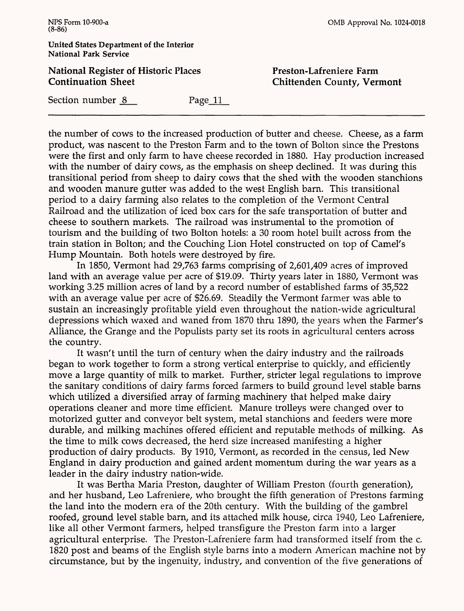### **National Register of Historic Places Continuation Sheet**

**Preston-Lafreniere Farm Chittenden County, Vermont**

Section number 8 Page 11

the number of cows to the increased production of butter and cheese. Cheese, as a farm product, was nascent to the Preston Farm and to the town of Bolton since the Prestons were the first and only farm to have cheese recorded in 1880. Hay production increased with the number of dairy cows, as the emphasis on sheep declined. It was during this transitional period from sheep to dairy cows that the shed with the wooden stanchions and wooden manure gutter was added to the west English barn. This transitional period to a dairy farming also relates to the completion of the Vermont Central Railroad and the utilization of iced box cars for the safe transportation of butter and cheese to southern markets. The railroad was instrumental to the promotion of tourism and the building of two Bolton hotels: a 30 room hotel built across from the train station in Bolton; and the Couching Lion Hotel constructed on top of Camel's Hump Mountain. Both hotels were destroyed by fire.

In 1850, Vermont had 29,763 farms comprising of 2,601,409 acres of improved land with an average value per acre of \$19.09. Thirty years later in 1880, Vermont was working 3.25 million acres of land by a record number of established farms of 35,522 with an average value per acre of \$26.69. Steadily the Vermont farmer was able to sustain an increasingly profitable yield even throughout the nation-wide agricultural depressions which waxed and waned from 1870 thru 1890, the years when the Farmer's Alliance, the Grange and the Populists party set its roots in agricultural centers across the country.

It wasn't until the turn of century when the dairy industry and the railroads began to work together to form a strong vertical enterprise to quickly, and efficiently move a large quantity of milk to market. Further, stricter legal regulations to improve the sanitary conditions of dairy farms forced farmers to build ground level stable barns which utilized a diversified array of farming machinery that helped make dairy operations cleaner and more time efficient. Manure trolleys were changed over to motorized gutter and conveyor belt system, metal stanchions and feeders were more durable, and milking machines offered efficient and reputable methods of milking. As the time to milk cows decreased, the herd size increased manifesting a higher production of dairy products. By 1910, Vermont, as recorded in the census, led New England in dairy production and gained ardent momentum during the war years as a leader in the dairy industry nation-wide.

It was Bertha Maria Preston, daughter of William Preston (fourth generation), and her husband, Leo Lafreniere, who brought the fifth generation of Prestons farming the land into the modern era of the 20th century. With the building of the gambrel roofed, ground level stable barn, and its attached milk house, circa 1940, Leo Lafreniere, like all other Vermont farmers, helped transfigure the Preston farm into a larger agricultural enterprise. The Preston-Lafreniere farm had transformed itself from the c. 1820 post and beams of the English style barns into a modern American machine not by circumstance, but by the ingenuity, industry, and convention of the five generations of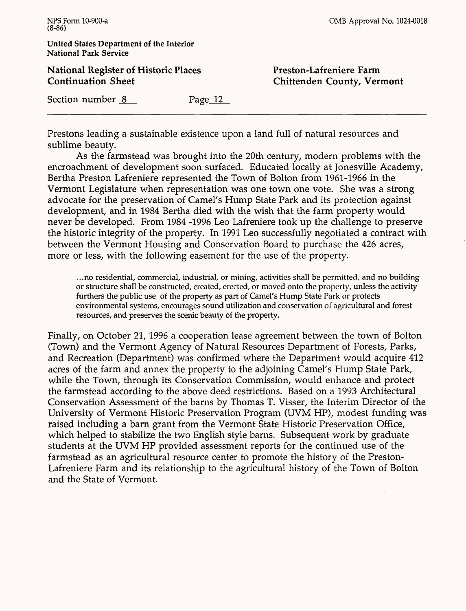**National Register of Historic Places Continuation Sheet**

**Preston-Lafreniere Farm Chittenden County, Vermont**

Section number 8 Page 12

Prestons leading a sustainable existence upon a land full of natural resources and sublime beauty.

As the farmstead was brought into the 20th century, modern problems with the encroachment of development soon surfaced. Educated locally at Jonesville Academy, Bertha Preston Lafreniere represented the Town of Bolton from 1961-1966 in the Vermont Legislature when representation was one town one vote. She was a strong advocate for the preservation of Camel's Hump State Park and its protection against development, and in 1984 Bertha died with the wish that the farm property would never be developed. From 1984 -1996 Leo Lafreniere took up the challenge to preserve the historic integrity of the property. In 1991 Leo successfully negotiated a contract with between the Vermont Housing and Conservation Board to purchase the 426 acres, more or less, with the following easement for the use of the property.

...no residential, commercial, industrial, or mining, activities shall be permitted, and no building or structure shall be constructed, created, erected, or moved onto the property, unless the activity furthers the public use of the property as part of Camel's Hump State Park or protects environmental systems, encourages sound utilization and conservation of agricultural and forest resources, and preserves the scenic beauty of the property.

Finally, on October 21, 1996 a cooperation lease agreement between the town of Bolton (Town) and the Vermont Agency of Natural Resources Department of Forests, Parks, and Recreation (Department) was confirmed where the Department would acquire 412 acres of the farm and annex the property to the adjoining Camel's Hump State Park, while the Town, through its Conservation Commission, would enhance and protect the farmstead according to the above deed restrictions. Based on a 1993 Architectural Conservation Assessment of the barns by Thomas T. Visser, the Interim Director of the University of Vermont Historic Preservation Program (UVM HP), modest funding was raised including a barn grant from the Vermont State Historic Preservation Office, which helped to stabilize the two English style barns. Subsequent work by graduate students at the UVM HP provided assessment reports for the continued use of the farmstead as an agricultural resource center to promote the history of the Preston-Lafreniere Farm and its relationship to the agricultural history of the Town of Bolton and the State of Vermont.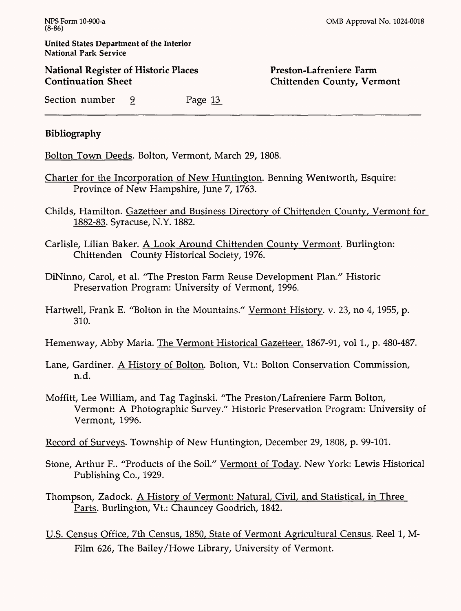National Register of Historic Places Continuation Sheet

### Preston-Lafreniere Farm Chittenden County, Vermont

Section number 9 Page 13

## Bibliography

Bolton Town Deeds. Bolton, Vermont, March 29,1808.

- Charter for the Incorporation of New Huntington. Benning Wentworth, Esquire: Province of New Hampshire, June 7, 1763.
- Childs, Hamilton. Gazetteer and Business Directory of Chittenden County, Vermont for 1882-83. Syracuse, N.Y. 1882.
- Carlisle, Lilian Baker. A Look Around Chittenden County Vermont. Burlington: Chittenden County Historical Society, 1976.
- DiNinno, Carol, et al. "The Preston Farm Reuse Development Plan." Historic Preservation Program: University of Vermont, 1996.
- Hartwell, Frank E. "Bolton in the Mountains." <u>Vermont History</u>. v. 23, no 4, 1955, p. 310.
- Hemenway, Abby Maria. The Vermont Historical Gazetteer. 1867-91, vol 1., p. 480-487.
- Lane, Gardiner. A History of Bolton. Bolton, Vt.: Bolton Conservation Commission, n.d.
- Moffitt, Lee William, and Tag Taginski. "The Preston/Lafreniere Farm Bolton, Vermont: A Photographic Survey/' Historic Preservation Program: University of Vermont, 1996.

Record of Surveys. Township of New Huntington, December 29,1808, p. 99-101.

- Stone, Arthur F.. "Products of the Soil." Vermont of Today. New York: Lewis Historical Publishing Co., 1929.
- Thompson, Zadock. A History of Vermont: Natural, Civil, and Statistical, in Three Parts. Burlington, Vt.: Chauncey Goodrich, 1842.
- U.S. Census Office, 7th Census, 1850, State of Vermont Agricultural Census. Reel 1, M-Film 626, The Bailey/Howe Library, University of Vermont.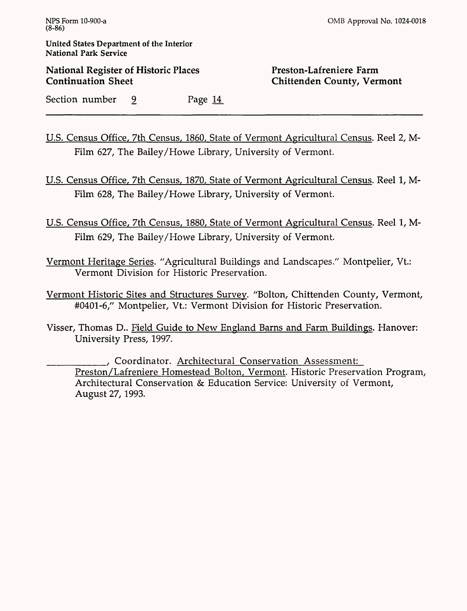**National Register of Historic Places Continuation Sheet**

### **Preston-Lafreniere Farm Chittenden County, Vermont**

Section number 9 Page 14

U.S. Census Office, 7th Census, I860, State of Vermont Agricultural Census. Reel 2, M-Film 627, The Bailey/Howe Library, University of Vermont.

U.S. Census Office, 7th Census, 1870, State of Vermont Agricultural Census. Reel 1, M-Film 628, The Bailey/Howe Library, University of Vermont.

U.S. Census Office, 7th Census, 1880, State of Vermont Agricultural Census. Reel 1, M-Film 629, The Bailey/Howe Library, University of Vermont.

Vermont Heritage Series. "Agricultural Buildings and Landscapes/7 Montpelier, Vt: Vermont Division for Historic Preservation.

Vermont Historic Sites and Structures Survey. "Bolton, Chittenden County, Vermont, #0401-6," Montpelier, Vt.: Vermont Division for Historic Preservation.

Visser, Thomas D.. Field Guide to New England Barns and Farm Buildings. Hanover: University Press, 1997.

\_\_\_\_\_\_\_\_, Coordinator. Architectural Conservation Assessment: Preston/Lafreniere Homestead Bolton, Vermont. Historic Preservation Program, Architectural Conservation & Education Service: University of Vermont, August 27,1993.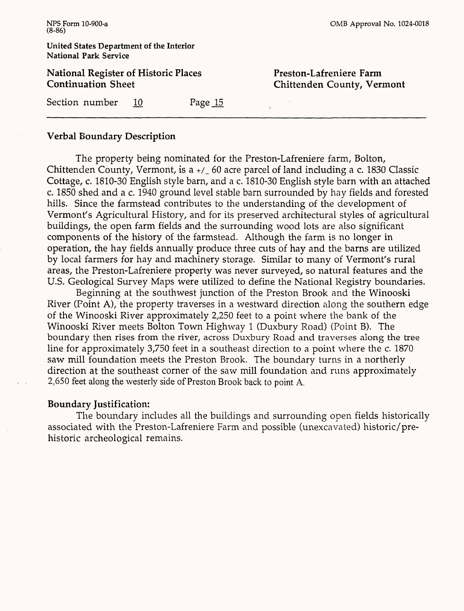### **Verbal Boundary Description**

The property being nominated for the Preston-Lafreniere farm, Bolton, Chittenden County, Vermont, is a +/\_ 60 acre parcel of land including a c. 1830 Classic Cottage, c. 1810-30 English style barn, and a c. 1810-30 English style barn with an attached c. 1850 shed and a c. 1940 ground level stable barn surrounded by hay fields and forested hills. Since the farmstead contributes to the understanding of the development of Vermont's Agricultural History, and for its preserved architectural styles of agricultural buildings, the open farm fields and the surrounding wood lots are also significant components of the history of the farmstead. Although the farm is no longer in operation, the hay fields annually produce three cuts of hay and the barns are utilized by local farmers for hay and machinery storage. Similar to many of Vermont's rural areas, the Preston-Lafreniere property was never surveyed, so natural features and the U.S. Geological Survey Maps were utilized to define the National Registry boundaries.

Beginning at the southwest junction of the Preston Brook and the Winooski River (Point A), the property traverses in a westward direction along the southern edge of the Winooski River approximately 2,250 feet to a point where the bank of the Winooski River meets Bolton Town Highway 1 (Duxbury Road) (Point B). The boundary then rises from the river, across Duxbury Road and traverses along the tree line for approximately 3,750 feet in a southeast direction to a point where the c. 1870 saw mill foundation meets the Preston Brook. The boundary turns in a northerly direction at the southeast corner of the saw mill foundation and runs approximately 2,650 feet along the westerly side of Preston Brook back to point A.

### **Boundary Justification:**

The boundary includes all the buildings and surrounding open fields historically associated with the Preston-Lafreniere Farm and possible (unexcavated) historic/prehistoric archeological remains.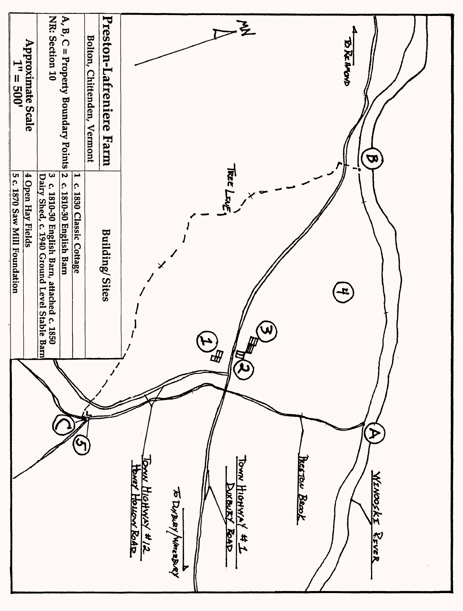